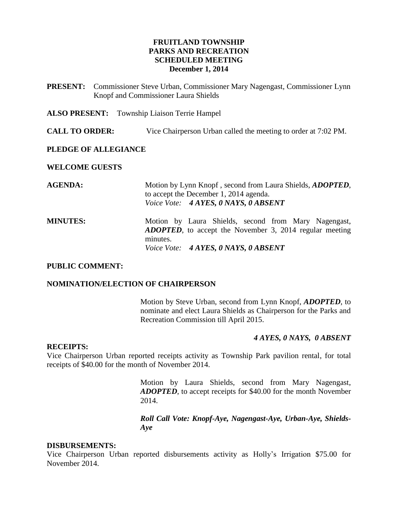### **FRUITLAND TOWNSHIP PARKS AND RECREATION SCHEDULED MEETING December 1, 2014**

**PRESENT:** Commissioner Steve Urban, Commissioner Mary Nagengast, Commissioner Lynn Knopf and Commissioner Laura Shields

**ALSO PRESENT:** Township Liaison Terrie Hampel

**CALL TO ORDER:** Vice Chairperson Urban called the meeting to order at 7:02 PM.

#### **PLEDGE OF ALLEGIANCE**

#### **WELCOME GUESTS**

| <b>AGENDA:</b>  | Motion by Lynn Knopf, second from Laura Shields, <i>ADOPTED</i> ,<br>to accept the December 1, 2014 agenda.<br>Voice Vote: 4 AYES, 0 NAYS, 0 ABSENT |
|-----------------|-----------------------------------------------------------------------------------------------------------------------------------------------------|
| <b>MINUTES:</b> | Motion by Laura Shields, second from Mary Nagengast,<br><b>ADOPTED</b> , to accept the November 3, 2014 regular meeting<br>minutes.                 |
|                 | Voice Vote: 4 AYES, 0 NAYS, 0 ABSENT                                                                                                                |

#### **PUBLIC COMMENT:**

### **NOMINATION/ELECTION OF CHAIRPERSON**

Motion by Steve Urban, second from Lynn Knopf, *ADOPTED*, to nominate and elect Laura Shields as Chairperson for the Parks and Recreation Commission till April 2015.

### *4 AYES, 0 NAYS, 0 ABSENT*

#### **RECEIPTS:**

Vice Chairperson Urban reported receipts activity as Township Park pavilion rental, for total receipts of \$40.00 for the month of November 2014.

> Motion by Laura Shields, second from Mary Nagengast, *ADOPTED*, to accept receipts for \$40.00 for the month November 2014.

> *Roll Call Vote: Knopf-Aye, Nagengast-Aye, Urban-Aye, Shields-Aye*

#### **DISBURSEMENTS:**

Vice Chairperson Urban reported disbursements activity as Holly's Irrigation \$75.00 for November 2014.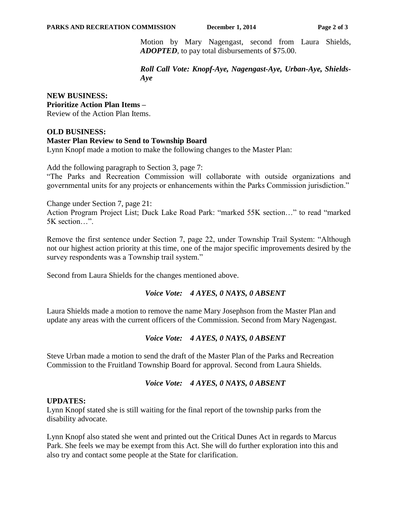Motion by Mary Nagengast, second from Laura Shields, *ADOPTED*, to pay total disbursements of \$75.00.

*Roll Call Vote: Knopf-Aye, Nagengast-Aye, Urban-Aye, Shields-Aye*

### **NEW BUSINESS: Prioritize Action Plan Items –** Review of the Action Plan Items.

## **OLD BUSINESS: Master Plan Review to Send to Township Board** Lynn Knopf made a motion to make the following changes to the Master Plan:

Add the following paragraph to Section 3, page 7:

"The Parks and Recreation Commission will collaborate with outside organizations and governmental units for any projects or enhancements within the Parks Commission jurisdiction."

Change under Section 7, page 21:

Action Program Project List; Duck Lake Road Park: "marked 55K section…" to read "marked 5K section…".

Remove the first sentence under Section 7, page 22, under Township Trail System: "Although not our highest action priority at this time, one of the major specific improvements desired by the survey respondents was a Township trail system."

Second from Laura Shields for the changes mentioned above.

# *Voice Vote: 4 AYES, 0 NAYS, 0 ABSENT*

Laura Shields made a motion to remove the name Mary Josephson from the Master Plan and update any areas with the current officers of the Commission. Second from Mary Nagengast.

# *Voice Vote: 4 AYES, 0 NAYS, 0 ABSENT*

Steve Urban made a motion to send the draft of the Master Plan of the Parks and Recreation Commission to the Fruitland Township Board for approval. Second from Laura Shields.

# *Voice Vote: 4 AYES, 0 NAYS, 0 ABSENT*

# **UPDATES:**

Lynn Knopf stated she is still waiting for the final report of the township parks from the disability advocate.

Lynn Knopf also stated she went and printed out the Critical Dunes Act in regards to Marcus Park. She feels we may be exempt from this Act. She will do further exploration into this and also try and contact some people at the State for clarification.